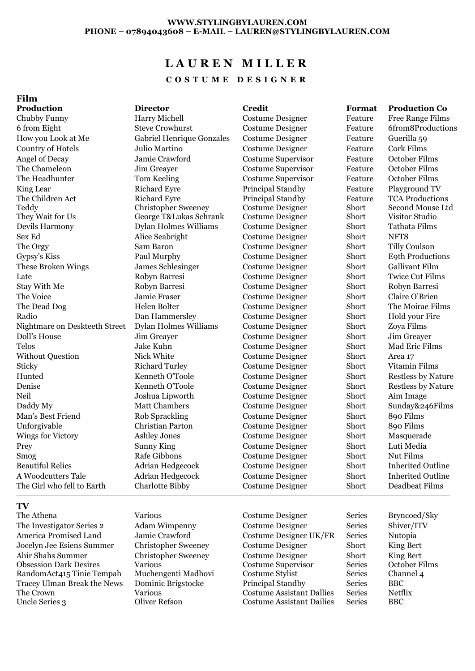# **L A U R E N M I L L E R**

**C O S T U M E D E S I G N E R**

### **Film**

**Production Director Credit Format Production Co** Chubby Funny **Funny** Harry Michell **Costume Designer** Feature Free Range Films 6 from Eight Steve Crowhurst Costume Designer Feature 6from8Productions How you Look at Me Gabriel Henrique Gonzales Costume Designer Feature Guerilla 59 Country of Hotels Julio Martino Costume Designer Feature Cork Films Angel of Decay Jamie Crawford Costume Supervisor Feature October Films The Chameleon Jim Greayer Costume Supervisor Feature October Films The Headhunter Tom Keeling Costume Supervisor Feature October Films King Lear **Richard Extrace Principal Standby** Feature Playground TV The Children Act **Teddy** They Wait for Us George T&Lukas Schrank Costume Designer Short Visitor Studio Devils Harmony Dylan Holmes Williams Costume Designer Short Tathata Films Sex Ed Alice Seabright Costume Designer Short NFTS The Orgy Sam Baron Costume Designer Short Tilly Coulson Gypsy's Kiss Paul Murphy Costume Designer Short E9th Productions These Broken Wings James Schlesinger Costume Designer Short Gallivant Film Late Robyn Barresi Costume Designer Short Twice Cut Films Stay With Me Robyn Barresi Costume Designer Short Robyn Barresi The Voice **Short Claire O'Brien** Jamie Fraser Costume Designer Short Claire O'Brien The Dead Dog **The Dead Dog** Helen Bolter Costume Designer Short The Moirae Films Radio Dan Hammersley Costume Designer Short Hold your Fire Nightmare on Deskteeth Street Dylan Holmes Williams Costume Designer Short Zoya Films Doll's House Jim Greayer Costume Designer Short Jim Greayer Telos Jake Kuhn Costume Designer Short Mad Eric Films Without Question Nick White Costume Designer Short Area 17 Sticky Richard Turley Costume Designer Short Vitamin Films Hunted Kenneth O'Toole Costume Designer Short Restless by Nature Denise Kenneth O'Toole Costume Designer Short Restless by Nature Neil Joshua Lipworth Costume Designer Short Aim Image Daddy My Matt Chambers Costume Designer Short Sunday&246Films Man's Best Friend Rob Sprackling Costume Designer Short 890 Films Unforgivable Christian Parton Costume Designer Short 890 Films Wings for Victory Ashley Jones Costume Designer Short Masquerade Prey Sunny King Costume Designer Short Luti Media Smog Rafe Gibbons Costume Designer Short Nut Films Beautiful Relics Adrian Hedgecock Costume Designer Short Inherited Outline A Woodcutters Tale Adrian Hedgecock Costume Designer Short Inherited Outline The Girl who fell to Earth Charlotte Bibby Costume Designer Short Deadbeat Films

## **TV**

The Athena **Various** Various Costume Designer Series Bryncoed/Sky The Investigator Series 2 Adam Wimpenny Costume Designer Series Shiver/ITV America Promised Land Jamie Crawford Costume Designer UK/FR Series Nutopia Jocelyn Jee Esiens Summer Christopher Sweeney Costume Designer Short King Bert Ahir Shahs Summer Obsession Dark Desires RandomAct415 Tinie Tempah Muchengenti Madhovi Costume Stylist Series Channel 4 Tracey Ulman Break the News The Crown Uncle Series 3 Oliver Refson Costume Assistant Dailies Series BBC

Richard Eyre Christopher Sweeney

Principal Standby Costume Designer

Feature Short

TCA Productions Second Mouse Ltd

Christopher Sweeney Various Dominic Brigstocke Various

Costume Designer Costume Supervisor Principal Standby Costume Assistant Dallies King Bert October Films BBC Netflix

Short Series<br>Series

Series Series